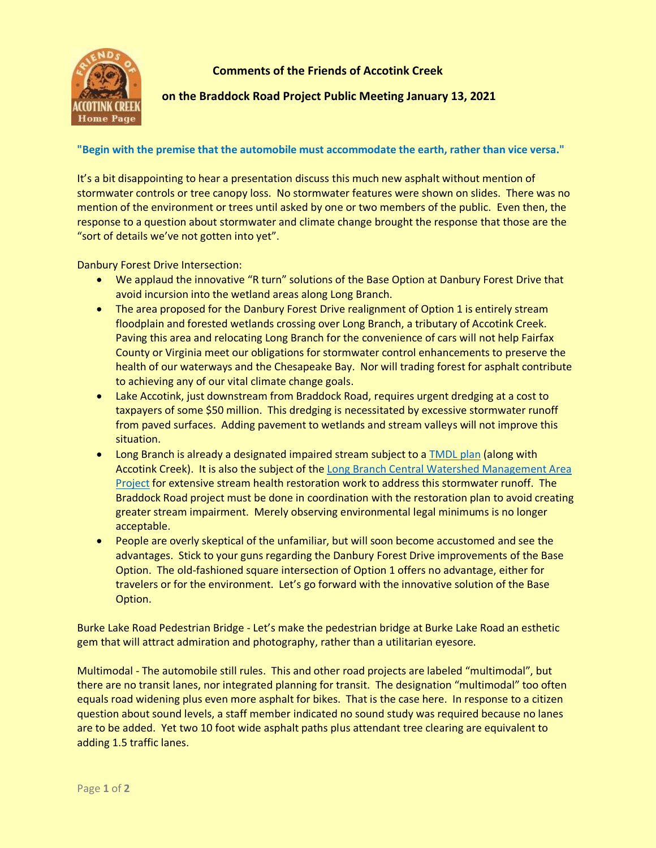

**Comments of the Friends of Accotink Creek**

## **on the Braddock Road Project Public Meeting January 13, 2021**

## **"Begin with the premise that the automobile must accommodate the earth, rather than vice versa."**

It's a bit disappointing to hear a presentation discuss this much new asphalt without mention of stormwater controls or tree canopy loss. No stormwater features were shown on slides. There was no mention of the environment or trees until asked by one or two members of the public. Even then, the response to a question about stormwater and climate change brought the response that those are the "sort of details we've not gotten into yet".

Danbury Forest Drive Intersection:

- We applaud the innovative "R turn" solutions of the Base Option at Danbury Forest Drive that avoid incursion into the wetland areas along Long Branch.
- The area proposed for the Danbury Forest Drive realignment of Option 1 is entirely stream floodplain and forested wetlands crossing over Long Branch, a tributary of Accotink Creek. Paving this area and relocating Long Branch for the convenience of cars will not help Fairfax County or Virginia meet our obligations for stormwater control enhancements to preserve the health of our waterways and the Chesapeake Bay. Nor will trading forest for asphalt contribute to achieving any of our vital climate change goals.
- Lake Accotink, just downstream from Braddock Road, requires urgent dredging at a cost to taxpayers of some \$50 million. This dredging is necessitated by excessive stormwater runoff from paved surfaces. Adding pavement to wetlands and stream valleys will not improve this situation.
- Long Branch is already a designated impaired stream subject to a [TMDL plan](https://www.accotink.org/2017/Vol_II_Final_SED_TMDL.pdf) (along with Accotink Creek). It is also the subject of the Long Branch Central Watershed Management Area [Project](https://www.fairfaxcounty.gov/publicworks/stormwater/plans-projects/long-branch-central-watershed-management-area-project) for extensive stream health restoration work to address this stormwater runoff. The Braddock Road project must be done in coordination with the restoration plan to avoid creating greater stream impairment. Merely observing environmental legal minimums is no longer acceptable.
- People are overly skeptical of the unfamiliar, but will soon become accustomed and see the advantages. Stick to your guns regarding the Danbury Forest Drive improvements of the Base Option. The old-fashioned square intersection of Option 1 offers no advantage, either for travelers or for the environment. Let's go forward with the innovative solution of the Base Option.

Burke Lake Road Pedestrian Bridge - Let's make the pedestrian bridge at Burke Lake Road an esthetic gem that will attract admiration and photography, rather than a utilitarian eyesore.

Multimodal - The automobile still rules. This and other road projects are labeled "multimodal", but there are no transit lanes, nor integrated planning for transit. The designation "multimodal" too often equals road widening plus even more asphalt for bikes. That is the case here. In response to a citizen question about sound levels, a staff member indicated no sound study was required because no lanes are to be added. Yet two 10 foot wide asphalt paths plus attendant tree clearing are equivalent to adding 1.5 traffic lanes.